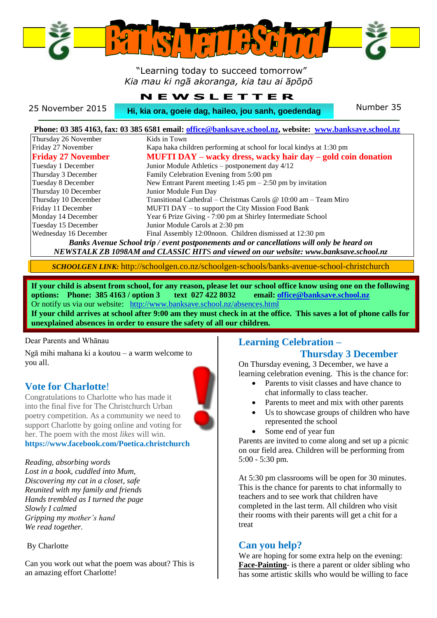

#### "Learning today to succeed tomorrow" *Kia mau ki ngā akoranga, kia tau ai āpōpō*

|                  | NEW SLEIIER                                         |           |
|------------------|-----------------------------------------------------|-----------|
| 25 November 2015 | Hi, kia ora, goeie dag, haileo, jou sanh, goedendag | Number 35 |
|                  |                                                     |           |

**N E W S L** E

| Phone: 03 385 4163, fax: 03 385 6581 email: office@banksave.school.nz, website: www.banksave.school.nz |                                                                     |  |  |  |  |
|--------------------------------------------------------------------------------------------------------|---------------------------------------------------------------------|--|--|--|--|
| Thursday 26 November                                                                                   | Kids in Town                                                        |  |  |  |  |
| Friday 27 November                                                                                     | Kapa haka children performing at school for local kindys at 1:30 pm |  |  |  |  |
| <b>Friday 27 November</b>                                                                              | MUFTI DAY – wacky dress, wacky hair day – gold coin donation        |  |  |  |  |
| Tuesday 1 December                                                                                     | Junior Module Athletics – postponement day 4/12                     |  |  |  |  |
| Thursday 3 December                                                                                    | Family Celebration Evening from 5:00 pm                             |  |  |  |  |
| Tuesday 8 December                                                                                     | New Entrant Parent meeting $1:45$ pm $-2:50$ pm by invitation       |  |  |  |  |
| Thursday 10 December                                                                                   | Junior Module Fun Day                                               |  |  |  |  |
| Thursday 10 December                                                                                   | Transitional Cathedral – Christmas Carols @ 10:00 am – Team Miro    |  |  |  |  |
| Friday 11 December                                                                                     | MUFTI DAY – to support the City Mission Food Bank                   |  |  |  |  |
| Monday 14 December                                                                                     | Year 6 Prize Giving - 7:00 pm at Shirley Intermediate School        |  |  |  |  |
| Tuesday 15 December                                                                                    | Junior Module Carols at 2:30 pm                                     |  |  |  |  |
| Wednesday 16 December                                                                                  | Final Assembly 12:00 noon. Children dismissed at 12:30 pm           |  |  |  |  |
| Banks Avenue School trip / event postponements and or cancellations will only be heard on              |                                                                     |  |  |  |  |
| NEWSTALK ZB 1098AM and CLASSIC HITS and viewed on our website: www.banksave.school.nz                  |                                                                     |  |  |  |  |

*SCHOOLGEN LINK:* http://schoolgen.co.nz/schoolgen-schools/banks-avenue-school-christchurch

**If your child is absent from school, for any reason, please let our school office know using one on the following options: Phone: 385 4163 / option 3 text 027 422 8032 email[: office@banksave.school.nz](mailto:office@banksave.school.nz)** Or notify us via our website: <http://www.banksave.school.nz/absences.html> **If your child arrives at school after 9:00 am they must check in at the office. This saves a lot of phone calls for unexplained absences in order to ensure the safety of all our children.**

#### Dear Parents and Whānau

Ngā mihi mahana ki a koutou – a warm welcome to you all.

#### **Vote for Charlotte**!

Congratulations to Charlotte who has made it into the final five for The Christchurch Urban poetry competition. As a community we need to support Charlotte by going online and voting for her. The poem with the most *likes* will win. **https://www.facebook.com/Poetica.christchurch**

#### *Reading, absorbing words*

*Lost in a book, cuddled into Mum, Discovering my cat in a closet, safe Reunited with my family and friends Hands trembled as I turned the page Slowly I calmed Gripping my mother's hand We read together.*

#### By Charlotte

Can you work out what the poem was about? This is an amazing effort Charlotte!

# **Learning Celebration –**

#### **Thursday 3 December**

On Thursday evening, 3 December, we have a learning celebration evening. This is the chance for:

- Parents to visit classes and have chance to chat informally to class teacher.
- Parents to meet and mix with other parents
- Us to showcase groups of children who have represented the school
- Some end of year fun

Parents are invited to come along and set up a picnic on our field area. Children will be performing from 5:00 - 5:30 pm.

At 5:30 pm classrooms will be open for 30 minutes. This is the chance for parents to chat informally to teachers and to see work that children have completed in the last term. All children who visit their rooms with their parents will get a chit for a treat

#### **Can you help?**

We are hoping for some extra help on the evening: **Face-Painting**- is there a parent or older sibling who has some artistic skills who would be willing to face

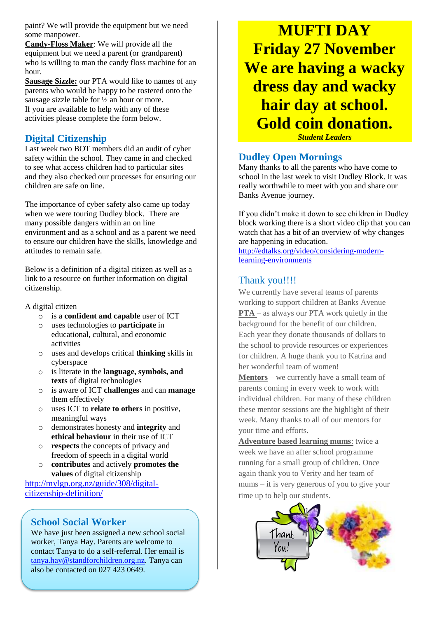paint? We will provide the equipment but we need some manpower.

**Candy-Floss Maker**: We will provide all the equipment but we need a parent (or grandparent) who is willing to man the candy floss machine for an hour.

**Sausage Sizzle:** our PTA would like to names of any parents who would be happy to be rostered onto the sausage sizzle table for ½ an hour or more. If you are available to help with any of these activities please complete the form below.

#### **Digital Citizenship**

Last week two BOT members did an audit of cyber safety within the school. They came in and checked to see what access children had to particular sites and they also checked our processes for ensuring our children are safe on line.

The importance of cyber safety also came up today when we were touring Dudley block. There are many possible dangers within an on line environment and as a school and as a parent we need to ensure our children have the skills, knowledge and attitudes to remain safe.

Below is a definition of a digital citizen as well as a link to a resource on further information on digital citizenship.

#### A digital citizen

- o is a **confident and capable** user of ICT
- uses technologies to **participate** in educational, cultural, and economic activities
- o uses and develops critical **thinking** skills in cyberspace
- o is literate in the **language, symbols, and texts** of digital technologies
- o is aware of ICT **challenges** and can **manage** them effectively
- o uses ICT to **relate to others** in positive, meaningful ways
- o demonstrates honesty and **integrity** and **ethical behaviour** in their use of ICT
- o **respects** the concepts of privacy and freedom of speech in a digital world
- o **contributes** and actively **promotes the values** of digital citizenship

[http://mylgp.org.nz/guide/308/digital](http://mylgp.org.nz/guide/308/digital-citizenship-definition/)[citizenship-definition/](http://mylgp.org.nz/guide/308/digital-citizenship-definition/)

# **School Social Worker**

We have just been assigned a new school social worker, Tanya Hay. Parents are welcome to contact Tanya to do a self-referral. Her email is [tanya.hay@standforchildren.org.nz.](mailto:tanya.hay@standforchildren.org.nz) Tanya can also be contacted on 027 423 0649.

**MUFTI DAY Friday 27 November We are having a wacky dress day and wacky hair day at school. Gold coin donation.**

*Student Leaders*

#### **Dudley Open Mornings**

Many thanks to all the parents who have come to school in the last week to visit Dudley Block. It was really worthwhile to meet with you and share our Banks Avenue journey.

If you didn't make it down to see children in Dudley block working there is a short video clip that you can watch that has a bit of an overview of why changes are happening in education.

[http://edtalks.org/video/considering-modern](http://edtalks.org/video/considering-modern-learning-environments)[learning-environments](http://edtalks.org/video/considering-modern-learning-environments)

#### Thank you!!!!

We currently have several teams of parents working to support children at Banks Avenue **PTA** – as always our PTA work quietly in the background for the benefit of our children. Each year they donate thousands of dollars to the school to provide resources or experiences for children. A huge thank you to Katrina and her wonderful team of women!

**Mentors** – we currently have a small team of parents coming in every week to work with individual children. For many of these children these mentor sessions are the highlight of their week. Many thanks to all of our mentors for your time and efforts.

**Adventure based learning mums**: twice a week we have an after school programme running for a small group of children. Once again thank you to Verity and her team of mums – it is very generous of you to give your time up to help our students.

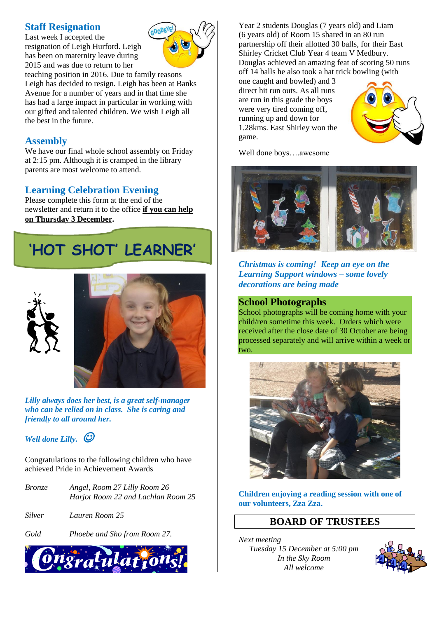#### **Staff Resignation**

Last week I accepted the resignation of Leigh Hurford. Leigh has been on maternity leave during 2015 and was due to return to her



teaching position in 2016. Due to family reasons Leigh has decided to resign. Leigh has been at Banks Avenue for a number of years and in that time she has had a large impact in particular in working with our gifted and talented children. We wish Leigh all the best in the future.

# **Assembly**

We have our final whole school assembly on Friday at 2:15 pm. Although it is cramped in the library parents are most welcome to attend.

# **Learning Celebration Evening**

Please complete this form at the end of the newsletter and return it to the office **if you can help on Thursday 3 December.**

# **'HOT SHOT' LEARNER'**





*Lilly always does her best, is a great self-manager who can be relied on in class. She is caring and friendly to all around her.*

*Well done Lilly.* 

Congratulations to the following children who have achieved Pride in Achievement Awards

| Bronze | Angel, Room 27 Lilly Room 26       |
|--------|------------------------------------|
|        | Harjot Room 22 and Lachlan Room 25 |

- *Silver Lauren Room 25*
- *Gold Phoebe and Sho from Room 27.*



Year 2 students Douglas (7 years old) and Liam (6 years old) of Room 15 shared in an 80 run partnership off their allotted 30 balls, for their East Shirley Cricket Club Year 4 team V Medbury. Douglas achieved an amazing feat of scoring 50 runs off 14 balls he also took a hat trick bowling (with

one caught and bowled) and 3 direct hit run outs. As all runs are run in this grade the boys were very tired coming off, running up and down for 1.28kms. East Shirley won the game.



Well done boys….awesome



*Christmas is coming! Keep an eye on the Learning Support windows – some lovely decorations are being made*

#### **School Photographs**

School photographs will be coming home with your child/ren sometime this week. Orders which were received after the close date of 30 October are being processed separately and will arrive within a week or two.



**Children enjoying a reading session with one of our volunteers, Zza Zza.**

# **BOARD OF TRUSTEES**

*Next meeting Tuesday 15 December at 5:00 pm In the Sky Room All welcome*